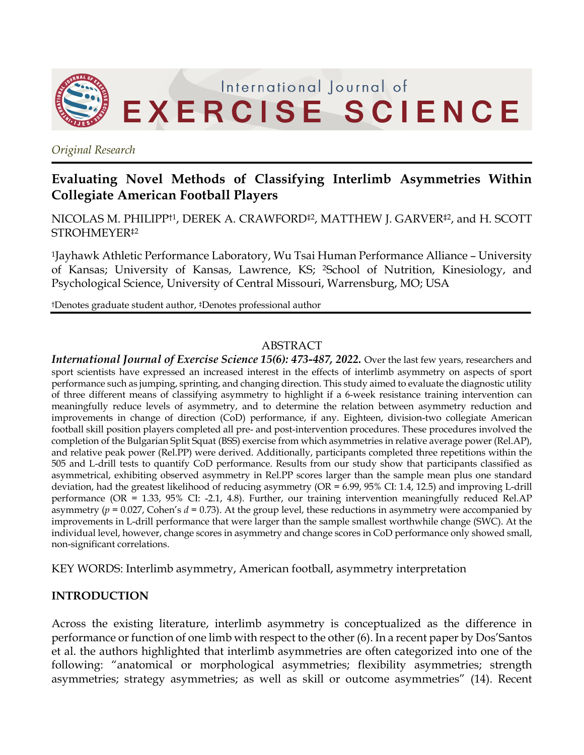

*Original Research*

## **Evaluating Novel Methods of Classifying Interlimb Asymmetries Within Collegiate American Football Players**

NICOLAS M. PHILIPP<sup>†1</sup>, DEREK A. CRAWFORD<sup>‡2</sup>, MATTHEW J. GARVER<sup>‡2</sup>, and H. SCOTT STROHMEYER‡2

1Jayhawk Athletic Performance Laboratory, Wu Tsai Human Performance Alliance – University of Kansas; University of Kansas, Lawrence, KS; 2School of Nutrition, Kinesiology, and Psychological Science, University of Central Missouri, Warrensburg, MO; USA

†Denotes graduate student author, ‡Denotes professional author

#### ABSTRACT

*International Journal of Exercise Science 15(6): 473-487, 2022.* Over the last few years, researchers and sport scientists have expressed an increased interest in the effects of interlimb asymmetry on aspects of sport performance such as jumping, sprinting, and changing direction. This study aimed to evaluate the diagnostic utility of three different means of classifying asymmetry to highlight if a 6-week resistance training intervention can meaningfully reduce levels of asymmetry, and to determine the relation between asymmetry reduction and improvements in change of direction (CoD) performance, if any. Eighteen, division-two collegiate American football skill position players completed all pre- and post-intervention procedures. These procedures involved the completion of the Bulgarian Split Squat (BSS) exercise from which asymmetries in relative average power (Rel.AP), and relative peak power (Rel.PP) were derived. Additionally, participants completed three repetitions within the 505 and L-drill tests to quantify CoD performance. Results from our study show that participants classified as asymmetrical, exhibiting observed asymmetry in Rel.PP scores larger than the sample mean plus one standard deviation, had the greatest likelihood of reducing asymmetry (OR = 6.99, 95% CI: 1.4, 12.5) and improving L-drill performance (OR = 1.33, 95% CI: -2.1, 4.8). Further, our training intervention meaningfully reduced Rel.AP asymmetry ( $p = 0.027$ , Cohen's  $d = 0.73$ ). At the group level, these reductions in asymmetry were accompanied by improvements in L-drill performance that were larger than the sample smallest worthwhile change (SWC). At the individual level, however, change scores in asymmetry and change scores in CoD performance only showed small, non-significant correlations.

KEY WORDS: Interlimb asymmetry, American football, asymmetry interpretation

#### **INTRODUCTION**

Across the existing literature, interlimb asymmetry is conceptualized as the difference in performance or function of one limb with respect to the other (6). In a recent paper by Dos'Santos et al. the authors highlighted that interlimb asymmetries are often categorized into one of the following: "anatomical or morphological asymmetries; flexibility asymmetries; strength asymmetries; strategy asymmetries; as well as skill or outcome asymmetries" (14). Recent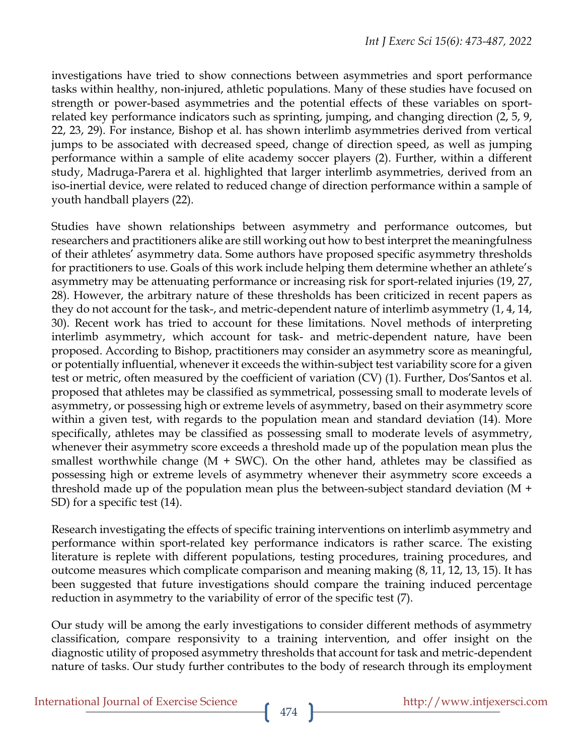investigations have tried to show connections between asymmetries and sport performance tasks within healthy, non-injured, athletic populations. Many of these studies have focused on strength or power-based asymmetries and the potential effects of these variables on sportrelated key performance indicators such as sprinting, jumping, and changing direction (2, 5, 9, 22, 23, 29). For instance, Bishop et al. has shown interlimb asymmetries derived from vertical jumps to be associated with decreased speed, change of direction speed, as well as jumping performance within a sample of elite academy soccer players (2). Further, within a different study, Madruga-Parera et al. highlighted that larger interlimb asymmetries, derived from an iso-inertial device, were related to reduced change of direction performance within a sample of youth handball players (22).

Studies have shown relationships between asymmetry and performance outcomes, but researchers and practitioners alike are still working out how to best interpret the meaningfulness of their athletes' asymmetry data. Some authors have proposed specific asymmetry thresholds for practitioners to use. Goals of this work include helping them determine whether an athlete's asymmetry may be attenuating performance or increasing risk for sport-related injuries (19, 27, 28). However, the arbitrary nature of these thresholds has been criticized in recent papers as they do not account for the task-, and metric-dependent nature of interlimb asymmetry (1, 4, 14, 30). Recent work has tried to account for these limitations. Novel methods of interpreting interlimb asymmetry, which account for task- and metric-dependent nature, have been proposed. According to Bishop, practitioners may consider an asymmetry score as meaningful, or potentially influential, whenever it exceeds the within-subject test variability score for a given test or metric, often measured by the coefficient of variation (CV) (1). Further, Dos'Santos et al. proposed that athletes may be classified as symmetrical, possessing small to moderate levels of asymmetry, or possessing high or extreme levels of asymmetry, based on their asymmetry score within a given test, with regards to the population mean and standard deviation (14). More specifically, athletes may be classified as possessing small to moderate levels of asymmetry, whenever their asymmetry score exceeds a threshold made up of the population mean plus the smallest worthwhile change  $(M + SWC)$ . On the other hand, athletes may be classified as possessing high or extreme levels of asymmetry whenever their asymmetry score exceeds a threshold made up of the population mean plus the between-subject standard deviation (M + SD) for a specific test  $(14)$ .

Research investigating the effects of specific training interventions on interlimb asymmetry and performance within sport-related key performance indicators is rather scarce. The existing literature is replete with different populations, testing procedures, training procedures, and outcome measures which complicate comparison and meaning making (8, 11, 12, 13, 15). It has been suggested that future investigations should compare the training induced percentage reduction in asymmetry to the variability of error of the specific test (7).

Our study will be among the early investigations to consider different methods of asymmetry classification, compare responsivity to a training intervention, and offer insight on the diagnostic utility of proposed asymmetry thresholds that account for task and metric-dependent nature of tasks. Our study further contributes to the body of research through its employment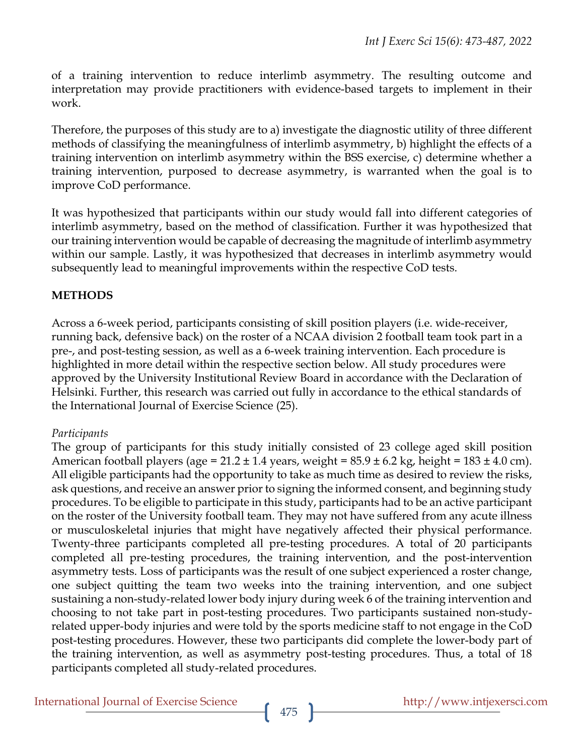of a training intervention to reduce interlimb asymmetry. The resulting outcome and interpretation may provide practitioners with evidence-based targets to implement in their work.

Therefore, the purposes of this study are to a) investigate the diagnostic utility of three different methods of classifying the meaningfulness of interlimb asymmetry, b) highlight the effects of a training intervention on interlimb asymmetry within the BSS exercise, c) determine whether a training intervention, purposed to decrease asymmetry, is warranted when the goal is to improve CoD performance.

It was hypothesized that participants within our study would fall into different categories of interlimb asymmetry, based on the method of classification. Further it was hypothesized that our training intervention would be capable of decreasing the magnitude of interlimb asymmetry within our sample. Lastly, it was hypothesized that decreases in interlimb asymmetry would subsequently lead to meaningful improvements within the respective CoD tests.

### **METHODS**

Across a 6-week period, participants consisting of skill position players (i.e. wide-receiver, running back, defensive back) on the roster of a NCAA division 2 football team took part in a pre-, and post-testing session, as well as a 6-week training intervention. Each procedure is highlighted in more detail within the respective section below. All study procedures were approved by the University Institutional Review Board in accordance with the Declaration of Helsinki. Further, this research was carried out fully in accordance to the ethical standards of the International Journal of Exercise Science (25).

#### *Participants*

The group of participants for this study initially consisted of 23 college aged skill position American football players (age =  $21.2 \pm 1.4$  years, weight =  $85.9 \pm 6.2$  kg, height =  $183 \pm 4.0$  cm). All eligible participants had the opportunity to take as much time as desired to review the risks, ask questions, and receive an answer prior to signing the informed consent, and beginning study procedures. To be eligible to participate in this study, participants had to be an active participant on the roster of the University football team. They may not have suffered from any acute illness or musculoskeletal injuries that might have negatively affected their physical performance. Twenty-three participants completed all pre-testing procedures. A total of 20 participants completed all pre-testing procedures, the training intervention, and the post-intervention asymmetry tests. Loss of participants was the result of one subject experienced a roster change, one subject quitting the team two weeks into the training intervention, and one subject sustaining a non-study-related lower body injury during week 6 of the training intervention and choosing to not take part in post-testing procedures. Two participants sustained non-studyrelated upper-body injuries and were told by the sports medicine staff to not engage in the CoD post-testing procedures. However, these two participants did complete the lower-body part of the training intervention, as well as asymmetry post-testing procedures. Thus, a total of 18 participants completed all study-related procedures.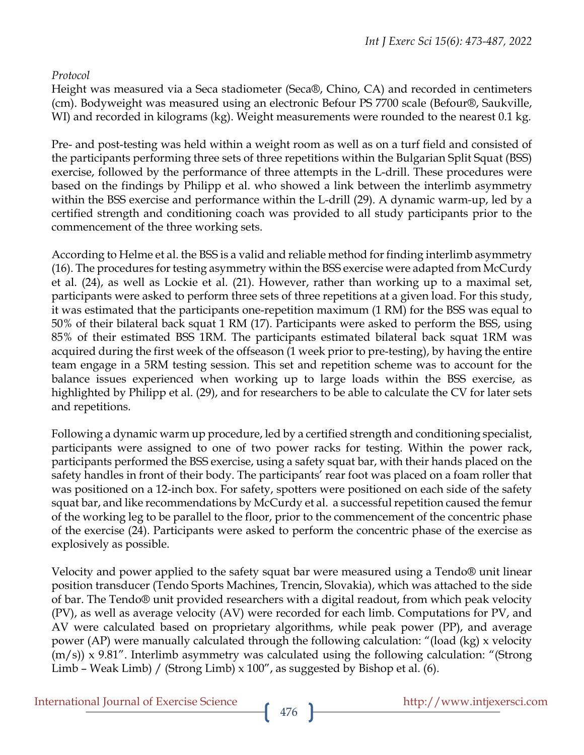### *Protocol*

Height was measured via a Seca stadiometer (Seca®, Chino, CA) and recorded in centimeters (cm). Bodyweight was measured using an electronic Befour PS 7700 scale (Befour®, Saukville, WI) and recorded in kilograms (kg). Weight measurements were rounded to the nearest 0.1 kg.

Pre- and post-testing was held within a weight room as well as on a turf field and consisted of the participants performing three sets of three repetitions within the Bulgarian Split Squat (BSS) exercise, followed by the performance of three attempts in the L-drill. These procedures were based on the findings by Philipp et al. who showed a link between the interlimb asymmetry within the BSS exercise and performance within the L-drill (29). A dynamic warm-up, led by a certified strength and conditioning coach was provided to all study participants prior to the commencement of the three working sets.

According to Helme et al. the BSS is a valid and reliable method for finding interlimb asymmetry (16). The procedures for testing asymmetry within the BSS exercise were adapted from McCurdy et al. (24), as well as Lockie et al. (21). However, rather than working up to a maximal set, participants were asked to perform three sets of three repetitions at a given load. For this study, it was estimated that the participants one-repetition maximum (1 RM) for the BSS was equal to 50% of their bilateral back squat 1 RM (17). Participants were asked to perform the BSS, using 85% of their estimated BSS 1RM. The participants estimated bilateral back squat 1RM was acquired during the first week of the offseason (1 week prior to pre-testing), by having the entire team engage in a 5RM testing session. This set and repetition scheme was to account for the balance issues experienced when working up to large loads within the BSS exercise, as highlighted by Philipp et al. (29), and for researchers to be able to calculate the CV for later sets and repetitions.

Following a dynamic warm up procedure, led by a certified strength and conditioning specialist, participants were assigned to one of two power racks for testing. Within the power rack, participants performed the BSS exercise, using a safety squat bar, with their hands placed on the safety handles in front of their body. The participants' rear foot was placed on a foam roller that was positioned on a 12-inch box. For safety, spotters were positioned on each side of the safety squat bar, and like recommendations by McCurdy et al. a successful repetition caused the femur of the working leg to be parallel to the floor, prior to the commencement of the concentric phase of the exercise (24). Participants were asked to perform the concentric phase of the exercise as explosively as possible.

Velocity and power applied to the safety squat bar were measured using a Tendo® unit linear position transducer (Tendo Sports Machines, Trencin, Slovakia), which was attached to the side of bar. The Tendo® unit provided researchers with a digital readout, from which peak velocity (PV), as well as average velocity (AV) were recorded for each limb. Computations for PV, and AV were calculated based on proprietary algorithms, while peak power (PP), and average power (AP) were manually calculated through the following calculation: "(load (kg) x velocity (m/s)) x 9.81". Interlimb asymmetry was calculated using the following calculation: "(Strong Limb – Weak Limb) / (Strong Limb) x 100", as suggested by Bishop et al. (6).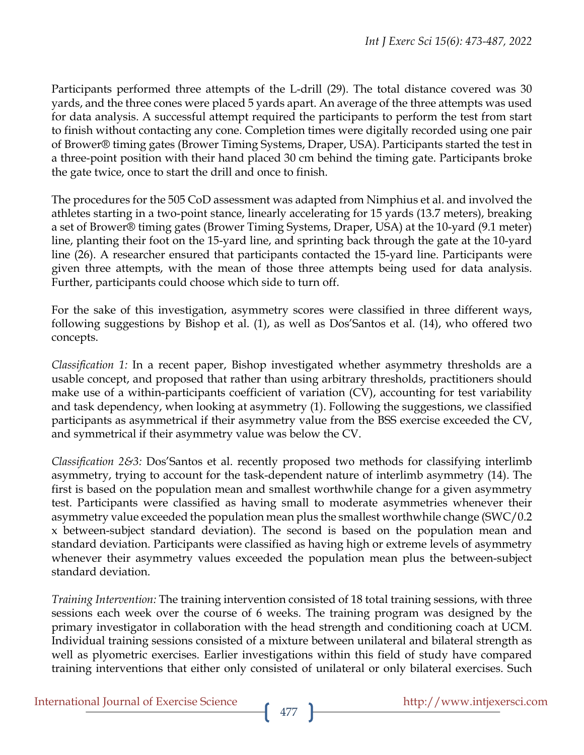Participants performed three attempts of the L-drill (29). The total distance covered was 30 yards, and the three cones were placed 5 yards apart. An average of the three attempts was used for data analysis. A successful attempt required the participants to perform the test from start to finish without contacting any cone. Completion times were digitally recorded using one pair of Brower® timing gates (Brower Timing Systems, Draper, USA). Participants started the test in a three-point position with their hand placed 30 cm behind the timing gate. Participants broke the gate twice, once to start the drill and once to finish.

The procedures for the 505 CoD assessment was adapted from Nimphius et al. and involved the athletes starting in a two-point stance, linearly accelerating for 15 yards (13.7 meters), breaking a set of Brower® timing gates (Brower Timing Systems, Draper, USA) at the 10-yard (9.1 meter) line, planting their foot on the 15-yard line, and sprinting back through the gate at the 10-yard line (26). A researcher ensured that participants contacted the 15-yard line. Participants were given three attempts, with the mean of those three attempts being used for data analysis. Further, participants could choose which side to turn off.

For the sake of this investigation, asymmetry scores were classified in three different ways, following suggestions by Bishop et al. (1), as well as Dos'Santos et al. (14), who offered two concepts.

*Classification 1:* In a recent paper, Bishop investigated whether asymmetry thresholds are a usable concept, and proposed that rather than using arbitrary thresholds, practitioners should make use of a within-participants coefficient of variation (CV), accounting for test variability and task dependency, when looking at asymmetry (1). Following the suggestions, we classified participants as asymmetrical if their asymmetry value from the BSS exercise exceeded the CV, and symmetrical if their asymmetry value was below the CV.

*Classification 2&3:* Dos'Santos et al. recently proposed two methods for classifying interlimb asymmetry, trying to account for the task-dependent nature of interlimb asymmetry (14). The first is based on the population mean and smallest worthwhile change for a given asymmetry test. Participants were classified as having small to moderate asymmetries whenever their asymmetry value exceeded the population mean plus the smallest worthwhile change (SWC/0.2 x between-subject standard deviation). The second is based on the population mean and standard deviation. Participants were classified as having high or extreme levels of asymmetry whenever their asymmetry values exceeded the population mean plus the between-subject standard deviation.

*Training Intervention:* The training intervention consisted of 18 total training sessions, with three sessions each week over the course of 6 weeks. The training program was designed by the primary investigator in collaboration with the head strength and conditioning coach at UCM. Individual training sessions consisted of a mixture between unilateral and bilateral strength as well as plyometric exercises. Earlier investigations within this field of study have compared training interventions that either only consisted of unilateral or only bilateral exercises. Such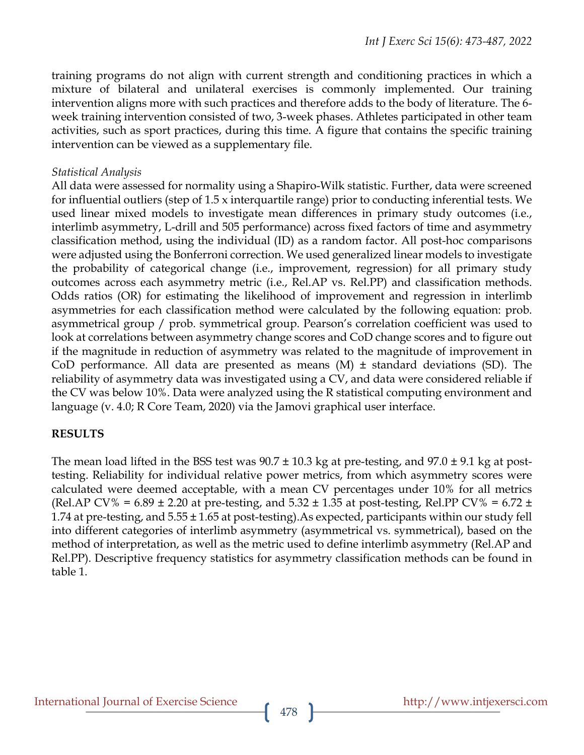training programs do not align with current strength and conditioning practices in which a mixture of bilateral and unilateral exercises is commonly implemented. Our training intervention aligns more with such practices and therefore adds to the body of literature. The 6 week training intervention consisted of two, 3-week phases. Athletes participated in other team activities, such as sport practices, during this time. A figure that contains the specific training intervention can be viewed as a supplementary file.

#### *Statistical Analysis*

All data were assessed for normality using a Shapiro-Wilk statistic. Further, data were screened for influential outliers (step of 1.5 x interquartile range) prior to conducting inferential tests. We used linear mixed models to investigate mean differences in primary study outcomes (i.e., interlimb asymmetry, L-drill and 505 performance) across fixed factors of time and asymmetry classification method, using the individual (ID) as a random factor. All post-hoc comparisons were adjusted using the Bonferroni correction. We used generalized linear models to investigate the probability of categorical change (i.e., improvement, regression) for all primary study outcomes across each asymmetry metric (i.e., Rel.AP vs. Rel.PP) and classification methods. Odds ratios (OR) for estimating the likelihood of improvement and regression in interlimb asymmetries for each classification method were calculated by the following equation: prob. asymmetrical group / prob. symmetrical group. Pearson's correlation coefficient was used to look at correlations between asymmetry change scores and CoD change scores and to figure out if the magnitude in reduction of asymmetry was related to the magnitude of improvement in CoD performance. All data are presented as means  $(M) \pm$  standard deviations (SD). The reliability of asymmetry data was investigated using a CV, and data were considered reliable if the CV was below 10%. Data were analyzed using the R statistical computing environment and language (v. 4.0; R Core Team, 2020) via the Jamovi graphical user interface.

#### **RESULTS**

The mean load lifted in the BSS test was  $90.7 \pm 10.3$  kg at pre-testing, and  $97.0 \pm 9.1$  kg at posttesting. Reliability for individual relative power metrics, from which asymmetry scores were calculated were deemed acceptable, with a mean CV percentages under 10% for all metrics (Rel.AP CV% =  $6.89 \pm 2.20$  at pre-testing, and  $5.32 \pm 1.35$  at post-testing, Rel.PP CV% =  $6.72 \pm 1.35$ 1.74 at pre-testing, and 5.55 ± 1.65 at post-testing).As expected, participants within our study fell into different categories of interlimb asymmetry (asymmetrical vs. symmetrical), based on the method of interpretation, as well as the metric used to define interlimb asymmetry (Rel.AP and Rel.PP). Descriptive frequency statistics for asymmetry classification methods can be found in table 1.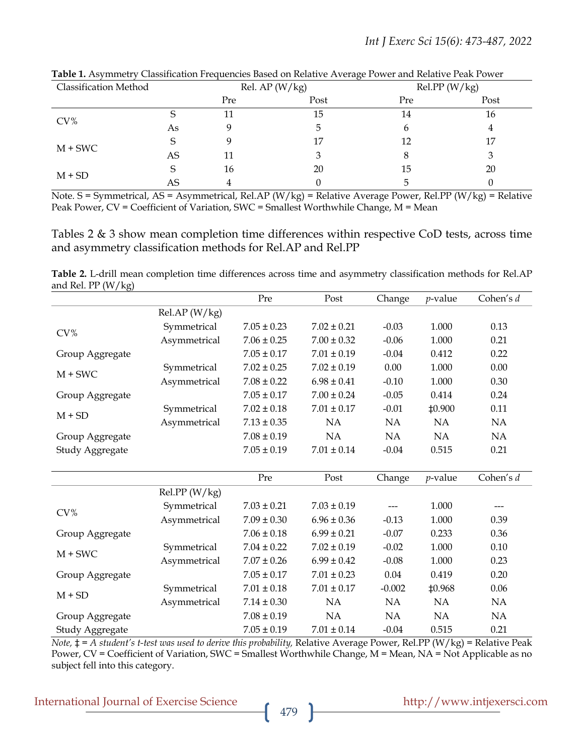| <b>Classification Method</b> |    |     | .,<br>Rel. AP $(W/kg)$ |     | Rel.PP (W/kg) |
|------------------------------|----|-----|------------------------|-----|---------------|
|                              |    | Pre | Post                   | Pre | Post          |
| $CV\%$                       |    | 11  | 15                     | 14  | 16            |
|                              | As |     |                        |     | 4             |
| $M + SWC$                    | S  |     | 17                     | 12  | 17            |
|                              | AS | 11  |                        |     | 3             |
| $M + SD$                     | S  | 16  | 20                     | 15  | 20            |
|                              | AS |     |                        |     |               |

**Table 1.** Asymmetry Classification Frequencies Based on Relative Average Power and Relative Peak Power

Note. S = Symmetrical, AS = Asymmetrical, Rel.AP (W/kg) = Relative Average Power, Rel.PP (W/kg) = Relative Peak Power, CV = Coefficient of Variation, SWC = Smallest Worthwhile Change, M = Mean

Tables 2 & 3 show mean completion time differences within respective CoD tests, across time and asymmetry classification methods for Rel.AP and Rel.PP

**Table 2.** L-drill mean completion time differences across time and asymmetry classification methods for Rel.AP and Rel. PP  $(W/kg)$ 

|                 |               | Pre             | Post            | Change   | $p$ -value    | Cohen's d |
|-----------------|---------------|-----------------|-----------------|----------|---------------|-----------|
|                 | RelAP (W/kg)  |                 |                 |          |               |           |
| CV%             | Symmetrical   | $7.05 \pm 0.23$ | $7.02 \pm 0.21$ | $-0.03$  | 1.000         | 0.13      |
|                 | Asymmetrical  | $7.06 \pm 0.25$ | $7.00 \pm 0.32$ | $-0.06$  | 1.000         | 0.21      |
| Group Aggregate |               | $7.05 \pm 0.17$ | $7.01 \pm 0.19$ | $-0.04$  | 0.412         | 0.22      |
| $M + SWC$       | Symmetrical   | $7.02 \pm 0.25$ | $7.02 \pm 0.19$ | 0.00     | 1.000         | 0.00      |
|                 | Asymmetrical  | $7.08 \pm 0.22$ | $6.98 \pm 0.41$ | $-0.10$  | 1.000         | 0.30      |
| Group Aggregate |               | $7.05 \pm 0.17$ | $7.00 \pm 0.24$ | $-0.05$  | 0.414         | 0.24      |
| $M + SD$        | Symmetrical   | $7.02 \pm 0.18$ | $7.01 \pm 0.17$ | $-0.01$  | <b>‡0.900</b> | 0.11      |
|                 | Asymmetrical  | $7.13 \pm 0.35$ | NA              | NA       | NA            | NA        |
| Group Aggregate |               | $7.08 \pm 0.19$ | NA              | NA       | NA            | NA        |
| Study Aggregate |               | $7.05 \pm 0.19$ | $7.01 \pm 0.14$ | $-0.04$  | 0.515         | 0.21      |
|                 |               |                 |                 |          |               |           |
|                 |               | Pre             | Post            | Change   | $p$ -value    | Cohen's d |
|                 | Rel.PP (W/kg) |                 |                 |          |               |           |
| CV%             | Symmetrical   | $7.03 \pm 0.21$ | $7.03 \pm 0.19$ |          | 1.000         |           |
|                 | Asymmetrical  | $7.09 \pm 0.30$ | $6.96 \pm 0.36$ | $-0.13$  | 1.000         | 0.39      |
| Group Aggregate |               | $7.06 \pm 0.18$ | $6.99 \pm 0.21$ | $-0.07$  | 0.233         | 0.36      |
| $M + SWC$       | Symmetrical   | $7.04 \pm 0.22$ | $7.02 \pm 0.19$ | $-0.02$  | 1.000         | 0.10      |
|                 | Asymmetrical  | $7.07 \pm 0.26$ | $6.99 \pm 0.42$ | $-0.08$  | 1.000         | 0.23      |
| Group Aggregate |               | $7.05 \pm 0.17$ | $7.01 \pm 0.23$ | 0.04     | 0.419         | 0.20      |
|                 | Symmetrical   | $7.01 \pm 0.18$ | $7.01 \pm 0.17$ | $-0.002$ | ‡0.968        | 0.06      |
| $M + SD$        | Asymmetrical  | $7.14 \pm 0.30$ | <b>NA</b>       | NA       | <b>NA</b>     | <b>NA</b> |
| Group Aggregate |               | $7.08 \pm 0.19$ | <b>NA</b>       | NA       | NA            | <b>NA</b> |
| Study Aggregate |               | $7.05 \pm 0.19$ | $7.01 \pm 0.14$ | $-0.04$  | 0.515         | 0.21      |

*Note,* ‡ *= A student's t-test was used to derive this probability,* Relative Average Power, Rel.PP (W/kg) = Relative Peak Power, CV = Coefficient of Variation, SWC = Smallest Worthwhile Change, M = Mean, NA = Not Applicable as no subject fell into this category.

# International Journal of Exercise Science http://www.intjexersci.com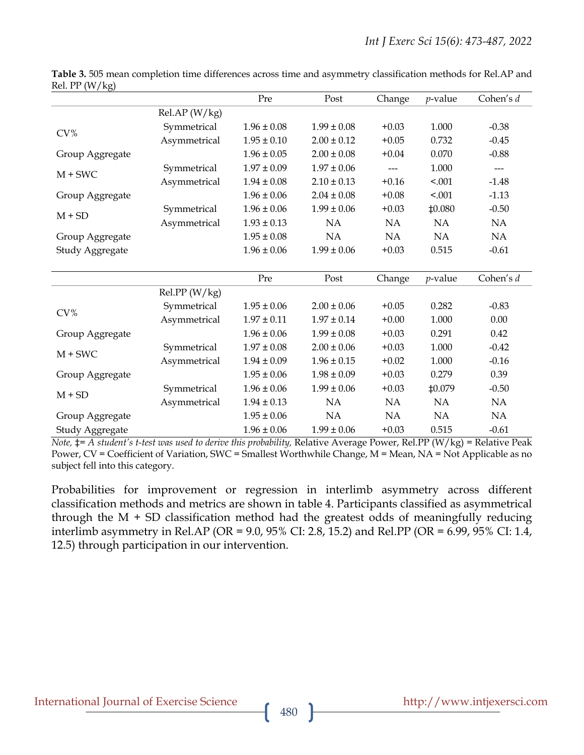| $\frac{1}{100}$ |               |                 |                 |           |                 |           |
|-----------------|---------------|-----------------|-----------------|-----------|-----------------|-----------|
|                 |               | Pre             | Post            | Change    | $p$ -value      | Cohen's d |
|                 | RelAP (W/kg)  |                 |                 |           |                 |           |
|                 | Symmetrical   | $1.96 \pm 0.08$ | $1.99 \pm 0.08$ | $+0.03$   | 1.000           | $-0.38$   |
| CV%             | Asymmetrical  | $1.95 \pm 0.10$ | $2.00 \pm 0.12$ | $+0.05$   | 0.732           | $-0.45$   |
| Group Aggregate |               | $1.96 \pm 0.05$ | $2.00 \pm 0.08$ | $+0.04$   | 0.070           | $-0.88$   |
| $M + SWC$       | Symmetrical   | $1.97 \pm 0.09$ | $1.97 \pm 0.06$ | $---$     | 1.000           | ---       |
|                 | Asymmetrical  | $1.94 \pm 0.08$ | $2.10 \pm 0.13$ | $+0.16$   | < .001          | $-1.48$   |
| Group Aggregate |               | $1.96 \pm 0.06$ | $2.04 \pm 0.08$ | $+0.08$   | < .001          | $-1.13$   |
|                 | Symmetrical   | $1.96 \pm 0.06$ | $1.99 \pm 0.06$ | $+0.03$   | <b>‡0.080</b>   | $-0.50$   |
| $M + SD$        | Asymmetrical  | $1.93 \pm 0.13$ | NA              | <b>NA</b> | <b>NA</b>       | NA        |
| Group Aggregate |               | $1.95 \pm 0.08$ | NA              | NA        | NA              | NA        |
| Study Aggregate |               | $1.96 \pm 0.06$ | $1.99 \pm 0.06$ | $+0.03$   | 0.515           | $-0.61$   |
|                 |               |                 |                 |           |                 |           |
|                 |               | Pre             | Post            | Change    | <i>p</i> -value | Cohen's d |
|                 | Rel.PP (W/kg) |                 |                 |           |                 |           |
| CV%             | Symmetrical   | $1.95 \pm 0.06$ | $2.00 \pm 0.06$ | $+0.05$   | 0.282           | $-0.83$   |
|                 | Asymmetrical  | $1.97 \pm 0.11$ | $1.97 \pm 0.14$ | $+0.00$   | 1.000           | 0.00      |
| Group Aggregate |               | $1.96 \pm 0.06$ | $1.99 \pm 0.08$ | $+0.03$   | 0.291           | 0.42      |
|                 | Symmetrical   | $1.97 \pm 0.08$ | $2.00 \pm 0.06$ | $+0.03$   | 1.000           | $-0.42$   |
| $M + SWC$       | Asymmetrical  | $1.94 \pm 0.09$ | $1.96 \pm 0.15$ | $+0.02$   | 1.000           | $-0.16$   |
| Group Aggregate |               | $1.95 \pm 0.06$ | $1.98 \pm 0.09$ | $+0.03$   | 0.279           | 0.39      |
|                 | Symmetrical   | $1.96 \pm 0.06$ | $1.99 \pm 0.06$ | $+0.03$   | ‡0.079          | $-0.50$   |
| $M + SD$        | Asymmetrical  | $1.94 \pm 0.13$ | <b>NA</b>       | <b>NA</b> | <b>NA</b>       | NA        |
| Group Aggregate |               | $1.95 \pm 0.06$ | NA              | <b>NA</b> | NA              | NA        |
| Study Aggregate |               | $1.96 \pm 0.06$ | $1.99 \pm 0.06$ | $+0.03$   | 0.515           | $-0.61$   |

**Table 3.** 505 mean completion time differences across time and asymmetry classification methods for Rel.AP and  $R_{\text{el}}$  PP (W/kg)

*Note,* ‡*= A student's t-test was used to derive this probability,* Relative Average Power, Rel.PP (W/kg) = Relative Peak Power, CV = Coefficient of Variation, SWC = Smallest Worthwhile Change, M = Mean, NA = Not Applicable as no subject fell into this category.

Probabilities for improvement or regression in interlimb asymmetry across different classification methods and metrics are shown in table 4. Participants classified as asymmetrical through the  $M + SD$  classification method had the greatest odds of meaningfully reducing interlimb asymmetry in Rel.AP (OR = 9.0, 95% CI: 2.8, 15.2) and Rel.PP (OR = 6.99, 95% CI: 1.4, 12.5) through participation in our intervention.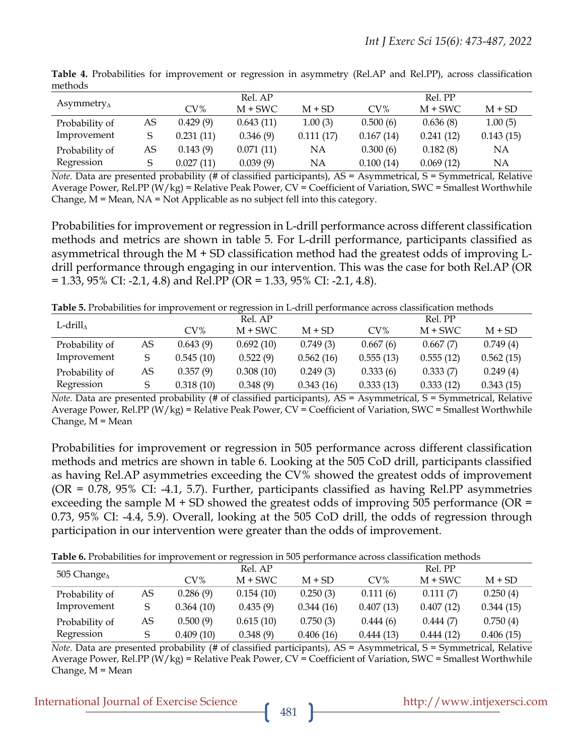|                       |    |           | Rel. AP   |           |           | Rel. PP   |           |
|-----------------------|----|-----------|-----------|-----------|-----------|-----------|-----------|
| Asymmetry $_{\Delta}$ |    | $CV\%$    | $M + SWC$ | $M + SD$  | CV%       | $M + SWC$ | $M + SD$  |
| Probability of        | AS | 0.429(9)  | 0.643(11) | 1.00(3)   | 0.500(6)  | 0.636(8)  | 1.00(5)   |
| Improvement           |    | 0.231(11) | 0.346(9)  | 0.111(17) | 0.167(14) | 0.241(12) | 0.143(15) |
| Probability of        | AS | 0.143(9)  | 0.071(11) | NΑ        | 0.300(6)  | 0.182(8)  | NΑ        |
| Regression            |    | 0.027(11) | 0.039(9)  | NΑ        | 0.100(14) | 0.069(12) | NΑ        |

**Table 4.** Probabilities for improvement or regression in asymmetry (Rel.AP and Rel.PP), across classification methods

*Note.* Data are presented probability (# of classified participants), AS = Asymmetrical, S = Symmetrical, Relative Average Power, Rel.PP ( $W/kg$ ) = Relative Peak Power,  $CV = Coefficient$  of Variation,  $SWC = Smallest Worthwhile$ Change, M = Mean, NA = Not Applicable as no subject fell into this category.

Probabilities for improvement or regression in L-drill performance across different classification methods and metrics are shown in table 5. For L-drill performance, participants classified as asymmetrical through the M + SD classification method had the greatest odds of improving Ldrill performance through engaging in our intervention. This was the case for both Rel.AP (OR  $= 1.33, 95\% \text{ CI: } -2.1, 4.8$  and Rel.PP (OR = 1.33, 95% CI: -2.1, 4.8).

**Table 5.** Probabilities for improvement or regression in L-drill performance across classification methods

|                  |    |           | Rel. AP   |           | Rel. PP   |           |           |  |
|------------------|----|-----------|-----------|-----------|-----------|-----------|-----------|--|
| L-drill $\wedge$ |    | CV%       | $M + SWC$ | $M + SD$  | $CV\%$    | $M + SWC$ | $M + SD$  |  |
| Probability of   | AS | 0.643(9)  | 0.692(10) | 0.749(3)  | 0.667(6)  | 0.667(7)  | 0.749(4)  |  |
| Improvement      |    | 0.545(10) | 0.522(9)  | 0.562(16) | 0.555(13) | 0.555(12) | 0.562(15) |  |
| Probability of   | AS | 0.357(9)  | 0.308(10) | 0.249(3)  | 0.333(6)  | 0.333(7)  | 0.249(4)  |  |
| Regression       |    | 0.318(10) | 0.348(9)  | 0.343(16) | 0.333(13) | 0.333(12) | 0.343(15) |  |

*Note.* Data are presented probability (# of classified participants), AS = Asymmetrical, S = Symmetrical, Relative Average Power, Rel.PP (W/kg) = Relative Peak Power,  $CV = Coefficient$  of Variation, SWC = Smallest Worthwhile Change, M = Mean

Probabilities for improvement or regression in 505 performance across different classification methods and metrics are shown in table 6. Looking at the 505 CoD drill, participants classified as having Rel.AP asymmetries exceeding the CV% showed the greatest odds of improvement  $(OR = 0.78, 95\% \text{ CI: -4.1, 5.7)}.$  Further, participants classified as having Rel. PP asymmetries exceeding the sample  $M$  + SD showed the greatest odds of improving 505 performance (OR = 0.73, 95% CI: -4.4, 5.9). Overall, looking at the 505 CoD drill, the odds of regression through participation in our intervention were greater than the odds of improvement.

**Table 6.** Probabilities for improvement or regression in 505 performance across classification methods

|                        |    |           | Rel. AP   |           |           | Rel. PP   |           |
|------------------------|----|-----------|-----------|-----------|-----------|-----------|-----------|
| 505 Change $_{\Delta}$ |    | $CV\%$    | $M + SWC$ | $M + SD$  | $CV\%$    | $M + SWC$ | $M + SD$  |
| Probability of         | AS | 0.286(9)  | 0.154(10) | 0.250(3)  | 0.111(6)  | 0.111(7)  | 0.250(4)  |
| Improvement            |    | 0.364(10) | 0.435(9)  | 0.344(16) | 0.407(13) | 0.407(12) | 0.344(15) |
| Probability of         | AS | 0.500(9)  | 0.615(10) | 0.750(3)  | 0.444(6)  | 0.444(7)  | 0.750(4)  |
| Regression             |    | 0.409(10) | 0.348(9)  | 0.406(16) | 0.444(13) | 0.444(12) | 0.406(15) |

*Note.* Data are presented probability (# of classified participants), AS = Asymmetrical, S = Symmetrical, Relative Average Power, Rel.PP ( $W/kg$ ) = Relative Peak Power,  $CV = Coefficient$  of Variation, SWC = Smallest Worthwhile Change, M = Mean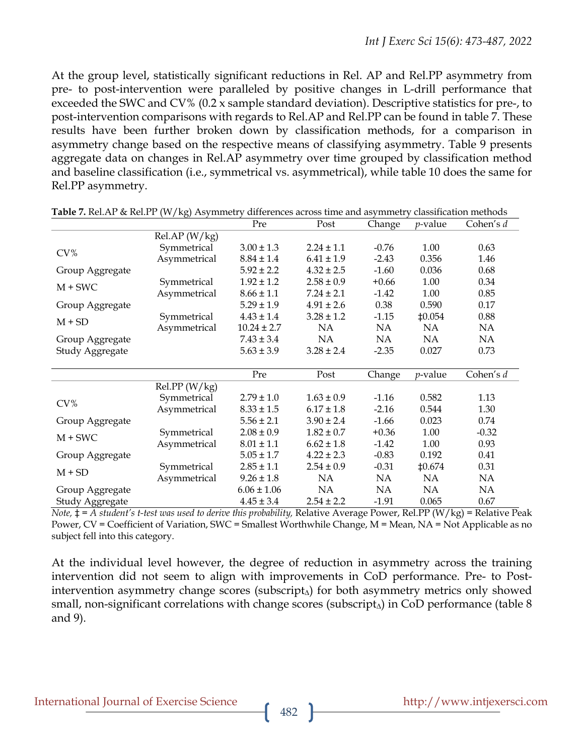At the group level, statistically significant reductions in Rel. AP and Rel.PP asymmetry from pre- to post-intervention were paralleled by positive changes in L-drill performance that exceeded the SWC and CV% (0.2 x sample standard deviation). Descriptive statistics for pre-, to post-intervention comparisons with regards to Rel.AP and Rel.PP can be found in table 7. These results have been further broken down by classification methods, for a comparison in asymmetry change based on the respective means of classifying asymmetry. Table 9 presents aggregate data on changes in Rel.AP asymmetry over time grouped by classification method and baseline classification (i.e., symmetrical vs. asymmetrical), while table 10 does the same for Rel.PP asymmetry.

|                 | $\cdots$ $\cdots$ | Pre             | Post           | Change    | $p$ -value       | Cohen's d |
|-----------------|-------------------|-----------------|----------------|-----------|------------------|-----------|
|                 | RelAP (W/kg)      |                 |                |           |                  |           |
| CV%             | Symmetrical       | $3.00 \pm 1.3$  | $2.24 \pm 1.1$ | $-0.76$   | 1.00             | 0.63      |
|                 | Asymmetrical      | $8.84 \pm 1.4$  | $6.41 \pm 1.9$ | $-2.43$   | 0.356            | 1.46      |
| Group Aggregate |                   | $5.92 \pm 2.2$  | $4.32 \pm 2.5$ | $-1.60$   | 0.036            | 0.68      |
| $M + SWC$       | Symmetrical       | $1.92 \pm 1.2$  | $2.58 \pm 0.9$ | $+0.66$   | 1.00             | 0.34      |
|                 | Asymmetrical      | $8.66 \pm 1.1$  | $7.24 \pm 2.1$ | $-1.42$   | 1.00             | 0.85      |
| Group Aggregate |                   | $5.29 \pm 1.9$  | $4.91 \pm 2.6$ | 0.38      | 0.590            | 0.17      |
| $M + SD$        | Symmetrical       | $4.43 \pm 1.4$  | $3.28 \pm 1.2$ | $-1.15$   | ±0.054           | 0.88      |
|                 | Asymmetrical      | $10.24 \pm 2.7$ | NA             | NA        | <b>NA</b>        | NA        |
| Group Aggregate |                   | $7.43 \pm 3.4$  | <b>NA</b>      | <b>NA</b> | <b>NA</b>        | NA        |
| Study Aggregate |                   | $5.63 \pm 3.9$  | $3.28 \pm 2.4$ | $-2.35$   | 0.027            | 0.73      |
|                 |                   |                 |                |           |                  |           |
|                 |                   | Pre             | Post           | Change    | <i>p</i> -value  | Cohen's d |
|                 | Rel.PP (W/kg)     |                 |                |           |                  |           |
| CV%             | Symmetrical       | $2.79 \pm 1.0$  | $1.63 \pm 0.9$ | $-1.16$   | 0.582            | 1.13      |
|                 | Asymmetrical      | $8.33 \pm 1.5$  | $6.17 \pm 1.8$ | $-2.16$   | 0.544            | 1.30      |
| Group Aggregate |                   | $5.56 \pm 2.1$  | $3.90 \pm 2.4$ | $-1.66$   | 0.023            | 0.74      |
| $M + SWC$       | Symmetrical       | $2.08 \pm 0.9$  | $1.82 \pm 0.7$ | $+0.36$   | 1.00             | $-0.32$   |
|                 | Asymmetrical      | $8.01 \pm 1.1$  | $6.62 \pm 1.8$ | $-1.42$   | 1.00             | 0.93      |
| Group Aggregate |                   | $5.05 \pm 1.7$  | $4.22 \pm 2.3$ | $-0.83$   | 0.192            | 0.41      |
| $M + SD$        | Symmetrical       | $2.85 \pm 1.1$  | $2.54 \pm 0.9$ | $-0.31$   | $\text{\#}0.674$ | 0.31      |
|                 | Asymmetrical      | $9.26 \pm 1.8$  | NA             | NA.       | <b>NA</b>        | NA        |
| Group Aggregate |                   | $6.06 \pm 1.06$ | NA             | NA        | NA               | NA        |
| Study Aggregate |                   | $4.45 \pm 3.4$  | $2.54 \pm 2.2$ | $-1.91$   | 0.065            | 0.67      |

|  | Table 7. Rel.AP & Rel.PP (W/kg) Asymmetry differences across time and asymmetry classification methods |  |
|--|--------------------------------------------------------------------------------------------------------|--|
|--|--------------------------------------------------------------------------------------------------------|--|

*Note,* ‡ *= A student's t-test was used to derive this probability,* Relative Average Power, Rel.PP (W/kg) = Relative Peak Power, CV = Coefficient of Variation, SWC = Smallest Worthwhile Change, M = Mean, NA = Not Applicable as no subject fell into this category.

At the individual level however, the degree of reduction in asymmetry across the training intervention did not seem to align with improvements in CoD performance. Pre- to Postintervention asymmetry change scores (subscript∆) for both asymmetry metrics only showed small, non-significant correlations with change scores (subscript<sub>∆</sub>) in CoD performance (table 8 and 9).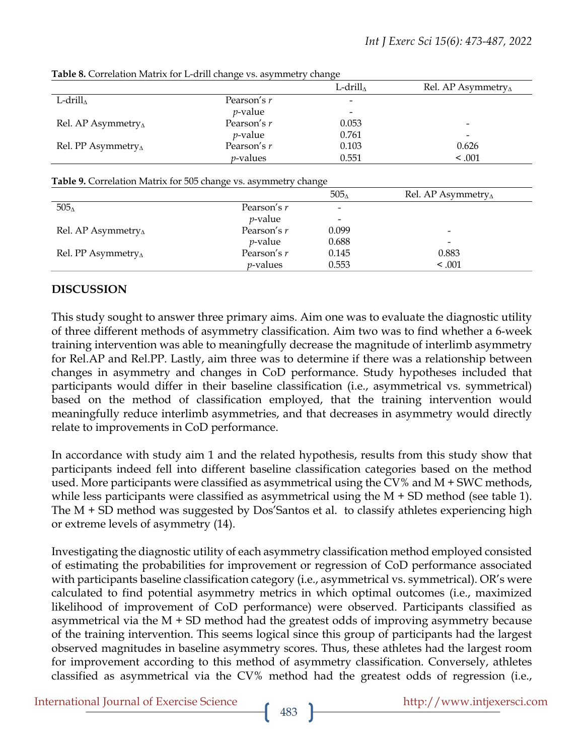|                               |                  | L-drill∧                     | Rel. AP Asymmetry $_{\Delta}$ |
|-------------------------------|------------------|------------------------------|-------------------------------|
|                               |                  |                              |                               |
| L-drill $\wedge$              | Pearson's r      | $\overline{\phantom{m}}$     |                               |
|                               | $p$ -value       | $\qquad \qquad \blacksquare$ |                               |
| Rel. AP Asymmetry $_{\Delta}$ | Pearson's r      | 0.053                        |                               |
|                               | $p$ -value       | 0.761                        |                               |
| Rel. PP Asymmetry $_{\Delta}$ | Pearson's r      | 0.103                        | 0.626                         |
|                               | <i>p</i> -values | 0.551                        | < 0.001                       |

**Table 8.** Correlation Matrix for L-drill change vs. asymmetry change

#### **Table 9.** Correlation Matrix for 505 change vs. asymmetry change

|                               |                 | 505 <sub>4</sub>         | Rel. AP Asymmetry $_{\Delta}$ |
|-------------------------------|-----------------|--------------------------|-------------------------------|
| 505 <sub>4</sub>              | Pearson's r     | $\overline{\phantom{a}}$ |                               |
|                               | <i>p</i> -value | $\overline{\phantom{a}}$ |                               |
| Rel. AP Asymmetry $_{\Delta}$ | Pearson's r     | 0.099                    | $\overline{\phantom{0}}$      |
|                               | $p$ -value      | 0.688                    | -                             |
| Rel. PP Asymmetry $_{\Delta}$ | Pearson's r     | 0.145                    | 0.883                         |
|                               | $p$ -values     | 0.553                    | < 0.001                       |

#### **DISCUSSION**

This study sought to answer three primary aims. Aim one was to evaluate the diagnostic utility of three different methods of asymmetry classification. Aim two was to find whether a 6-week training intervention was able to meaningfully decrease the magnitude of interlimb asymmetry for Rel.AP and Rel.PP. Lastly, aim three was to determine if there was a relationship between changes in asymmetry and changes in CoD performance. Study hypotheses included that participants would differ in their baseline classification (i.e., asymmetrical vs. symmetrical) based on the method of classification employed, that the training intervention would meaningfully reduce interlimb asymmetries, and that decreases in asymmetry would directly relate to improvements in CoD performance.

In accordance with study aim 1 and the related hypothesis, results from this study show that participants indeed fell into different baseline classification categories based on the method used. More participants were classified as asymmetrical using the CV% and M + SWC methods, while less participants were classified as asymmetrical using the M  $+$  SD method (see table 1). The M + SD method was suggested by Dos'Santos et al. to classify athletes experiencing high or extreme levels of asymmetry (14).

Investigating the diagnostic utility of each asymmetry classification method employed consisted of estimating the probabilities for improvement or regression of CoD performance associated with participants baseline classification category (i.e., asymmetrical vs. symmetrical). OR's were calculated to find potential asymmetry metrics in which optimal outcomes (i.e., maximized likelihood of improvement of CoD performance) were observed. Participants classified as asymmetrical via the  $M + SD$  method had the greatest odds of improving asymmetry because of the training intervention. This seems logical since this group of participants had the largest observed magnitudes in baseline asymmetry scores. Thus, these athletes had the largest room for improvement according to this method of asymmetry classification. Conversely, athletes classified as asymmetrical via the CV% method had the greatest odds of regression (i.e.,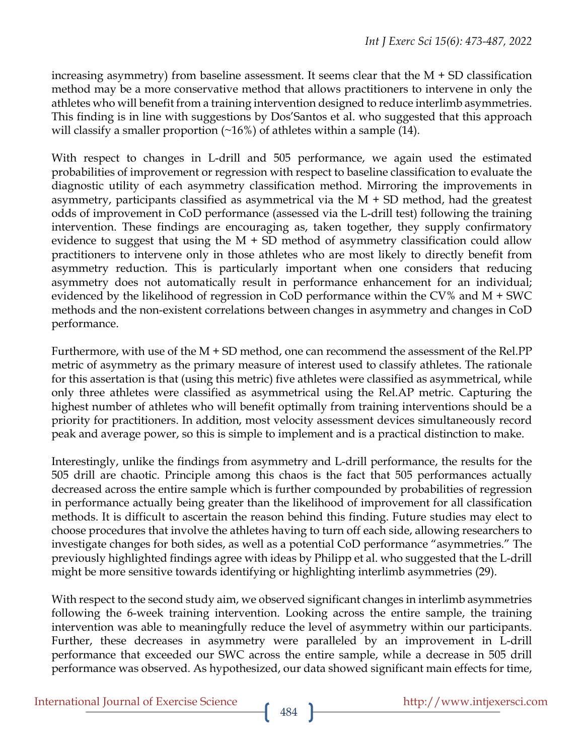increasing asymmetry) from baseline assessment. It seems clear that the  $M + SD$  classification method may be a more conservative method that allows practitioners to intervene in only the athletes who will benefit from a training intervention designed to reduce interlimb asymmetries. This finding is in line with suggestions by Dos'Santos et al. who suggested that this approach will classify a smaller proportion  $(\sim 16\%)$  of athletes within a sample (14).

With respect to changes in L-drill and 505 performance, we again used the estimated probabilities of improvement or regression with respect to baseline classification to evaluate the diagnostic utility of each asymmetry classification method. Mirroring the improvements in asymmetry, participants classified as asymmetrical via the  $M + SD$  method, had the greatest odds of improvement in CoD performance (assessed via the L-drill test) following the training intervention. These findings are encouraging as, taken together, they supply confirmatory evidence to suggest that using the  $M + SD$  method of asymmetry classification could allow practitioners to intervene only in those athletes who are most likely to directly benefit from asymmetry reduction. This is particularly important when one considers that reducing asymmetry does not automatically result in performance enhancement for an individual; evidenced by the likelihood of regression in CoD performance within the CV% and M + SWC methods and the non-existent correlations between changes in asymmetry and changes in CoD performance.

Furthermore, with use of the  $M + SD$  method, one can recommend the assessment of the Rel.PP metric of asymmetry as the primary measure of interest used to classify athletes. The rationale for this assertation is that (using this metric) five athletes were classified as asymmetrical, while only three athletes were classified as asymmetrical using the Rel.AP metric. Capturing the highest number of athletes who will benefit optimally from training interventions should be a priority for practitioners. In addition, most velocity assessment devices simultaneously record peak and average power, so this is simple to implement and is a practical distinction to make.

Interestingly, unlike the findings from asymmetry and L-drill performance, the results for the 505 drill are chaotic. Principle among this chaos is the fact that 505 performances actually decreased across the entire sample which is further compounded by probabilities of regression in performance actually being greater than the likelihood of improvement for all classification methods. It is difficult to ascertain the reason behind this finding. Future studies may elect to choose procedures that involve the athletes having to turn off each side, allowing researchers to investigate changes for both sides, as well as a potential CoD performance "asymmetries." The previously highlighted findings agree with ideas by Philipp et al. who suggested that the L-drill might be more sensitive towards identifying or highlighting interlimb asymmetries (29).

With respect to the second study aim, we observed significant changes in interlimb asymmetries following the 6-week training intervention. Looking across the entire sample, the training intervention was able to meaningfully reduce the level of asymmetry within our participants. Further, these decreases in asymmetry were paralleled by an improvement in L-drill performance that exceeded our SWC across the entire sample, while a decrease in 505 drill performance was observed. As hypothesized, our data showed significant main effects for time,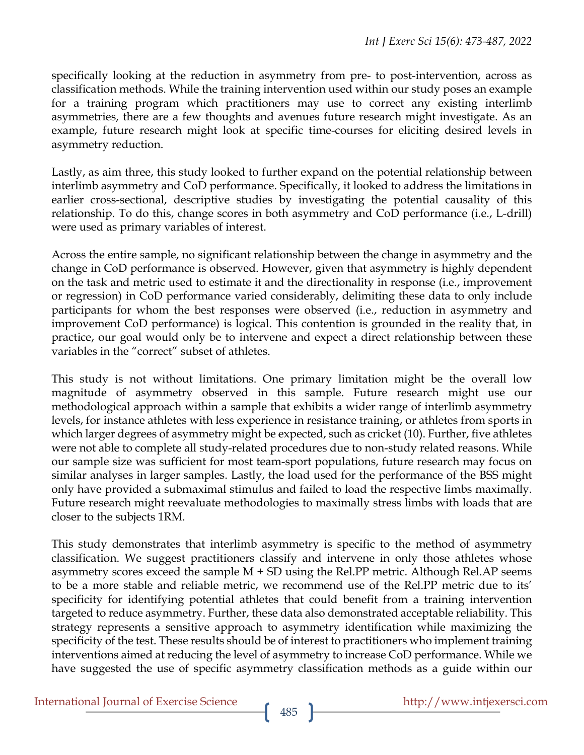specifically looking at the reduction in asymmetry from pre- to post-intervention, across as classification methods. While the training intervention used within our study poses an example for a training program which practitioners may use to correct any existing interlimb asymmetries, there are a few thoughts and avenues future research might investigate. As an example, future research might look at specific time-courses for eliciting desired levels in asymmetry reduction.

Lastly, as aim three, this study looked to further expand on the potential relationship between interlimb asymmetry and CoD performance. Specifically, it looked to address the limitations in earlier cross-sectional, descriptive studies by investigating the potential causality of this relationship. To do this, change scores in both asymmetry and CoD performance (i.e., L-drill) were used as primary variables of interest.

Across the entire sample, no significant relationship between the change in asymmetry and the change in CoD performance is observed. However, given that asymmetry is highly dependent on the task and metric used to estimate it and the directionality in response (i.e., improvement or regression) in CoD performance varied considerably, delimiting these data to only include participants for whom the best responses were observed (i.e., reduction in asymmetry and improvement CoD performance) is logical. This contention is grounded in the reality that, in practice, our goal would only be to intervene and expect a direct relationship between these variables in the "correct" subset of athletes.

This study is not without limitations. One primary limitation might be the overall low magnitude of asymmetry observed in this sample. Future research might use our methodological approach within a sample that exhibits a wider range of interlimb asymmetry levels, for instance athletes with less experience in resistance training, or athletes from sports in which larger degrees of asymmetry might be expected, such as cricket (10). Further, five athletes were not able to complete all study-related procedures due to non-study related reasons. While our sample size was sufficient for most team-sport populations, future research may focus on similar analyses in larger samples. Lastly, the load used for the performance of the BSS might only have provided a submaximal stimulus and failed to load the respective limbs maximally. Future research might reevaluate methodologies to maximally stress limbs with loads that are closer to the subjects 1RM.

This study demonstrates that interlimb asymmetry is specific to the method of asymmetry classification. We suggest practitioners classify and intervene in only those athletes whose asymmetry scores exceed the sample  $M + SD$  using the Rel.PP metric. Although Rel.AP seems to be a more stable and reliable metric, we recommend use of the Rel.PP metric due to its' specificity for identifying potential athletes that could benefit from a training intervention targeted to reduce asymmetry. Further, these data also demonstrated acceptable reliability. This strategy represents a sensitive approach to asymmetry identification while maximizing the specificity of the test. These results should be of interest to practitioners who implement training interventions aimed at reducing the level of asymmetry to increase CoD performance. While we have suggested the use of specific asymmetry classification methods as a guide within our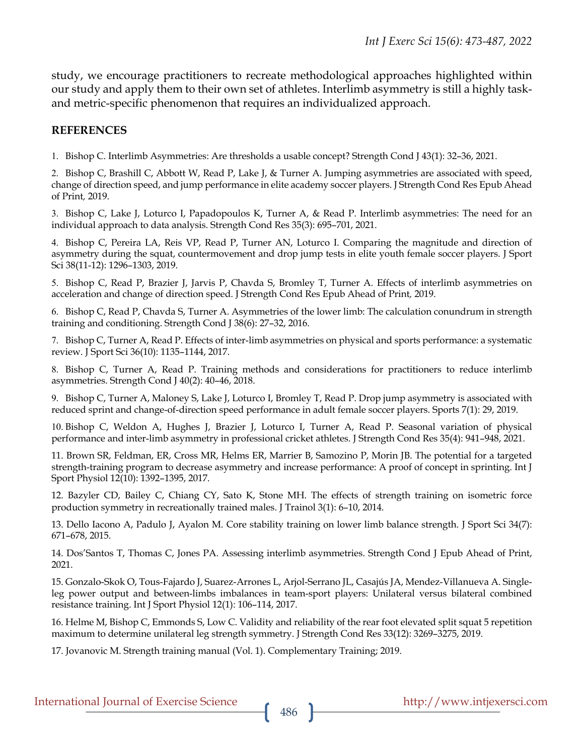study, we encourage practitioners to recreate methodological approaches highlighted within our study and apply them to their own set of athletes. Interlimb asymmetry is still a highly taskand metric-specific phenomenon that requires an individualized approach.

#### **REFERENCES**

1. Bishop C. Interlimb Asymmetries: Are thresholds a usable concept? Strength Cond J 43(1): 32–36, 2021.

2. Bishop C, Brashill C, Abbott W, Read P, Lake J, & Turner A. Jumping asymmetries are associated with speed, change of direction speed, and jump performance in elite academy soccer players. J Strength Cond Res Epub Ahead of Print*,* 2019.

3. Bishop C, Lake J, Loturco I, Papadopoulos K, Turner A, & Read P. Interlimb asymmetries: The need for an individual approach to data analysis. Strength Cond Res 35(3): 695–701, 2021.

4. Bishop C, Pereira LA, Reis VP, Read P, Turner AN, Loturco I. Comparing the magnitude and direction of asymmetry during the squat, countermovement and drop jump tests in elite youth female soccer players. J Sport Sci 38(11-12): 1296–1303, 2019.

5. Bishop C, Read P, Brazier J, Jarvis P, Chavda S, Bromley T, Turner A. Effects of interlimb asymmetries on acceleration and change of direction speed. J Strength Cond Res Epub Ahead of Print*,* 2019.

6. Bishop C, Read P, Chavda S, Turner A. Asymmetries of the lower limb: The calculation conundrum in strength training and conditioning. Strength Cond J 38(6): 27–32, 2016.

7. Bishop C, Turner A, Read P. Effects of inter-limb asymmetries on physical and sports performance: a systematic review. J Sport Sci 36(10): 1135–1144, 2017.

8. Bishop C, Turner A, Read P. Training methods and considerations for practitioners to reduce interlimb asymmetries. Strength Cond J 40(2): 40–46, 2018.

9. Bishop C, Turner A, Maloney S, Lake J, Loturco I, Bromley T, Read P. Drop jump asymmetry is associated with reduced sprint and change-of-direction speed performance in adult female soccer players. Sports 7(1): 29, 2019.

10. Bishop C, Weldon A, Hughes J, Brazier J, Loturco I, Turner A, Read P. Seasonal variation of physical performance and inter-limb asymmetry in professional cricket athletes. J Strength Cond Res 35(4): 941–948, 2021.

11. Brown SR, Feldman, ER, Cross MR, Helms ER, Marrier B, Samozino P, Morin JB. The potential for a targeted strength-training program to decrease asymmetry and increase performance: A proof of concept in sprinting. Int J Sport Physiol 12(10): 1392–1395, 2017.

12. Bazyler CD, Bailey C, Chiang CY, Sato K, Stone MH. The effects of strength training on isometric force production symmetry in recreationally trained males. J Trainol 3(1): 6–10, 2014.

13. Dello Iacono A, Padulo J, Ayalon M. Core stability training on lower limb balance strength. J Sport Sci 34(7): 671–678, 2015.

14. Dos'Santos T, Thomas C, Jones PA. Assessing interlimb asymmetries. Strength Cond J Epub Ahead of Print, 2021.

15. Gonzalo-Skok O, Tous-Fajardo J, Suarez-Arrones L, Arjol-Serrano JL, Casajús JA, Mendez-Villanueva A. Singleleg power output and between-limbs imbalances in team-sport players: Unilateral versus bilateral combined resistance training. Int J Sport Physiol 12(1): 106–114, 2017.

16. Helme M, Bishop C, Emmonds S, Low C. Validity and reliability of the rear foot elevated split squat 5 repetition maximum to determine unilateral leg strength symmetry. J Strength Cond Res 33(12): 3269–3275, 2019.

17. Jovanovic M. Strength training manual (Vol. 1). Complementary Training; 2019.